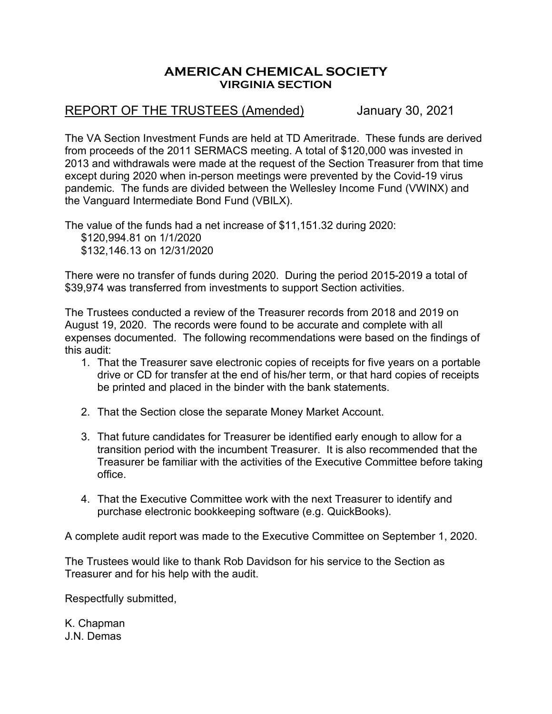## **AMERICAN CHEMICAL SOCIETY VIRGINIA SECTION**

## REPORT OF THE TRUSTEES (Amended) January 30, 2021

The VA Section Investment Funds are held at TD Ameritrade. These funds are derived from proceeds of the 2011 SERMACS meeting. A total of \$120,000 was invested in 2013 and withdrawals were made at the request of the Section Treasurer from that time except during 2020 when in-person meetings were prevented by the Covid-19 virus pandemic. The funds are divided between the Wellesley Income Fund (VWINX) and the Vanguard Intermediate Bond Fund (VBILX).

The value of the funds had a net increase of \$11,151.32 during 2020: \$120,994.81 on 1/1/2020 \$132,146.13 on 12/31/2020

There were no transfer of funds during 2020. During the period 2015-2019 a total of \$39,974 was transferred from investments to support Section activities.

The Trustees conducted a review of the Treasurer records from 2018 and 2019 on August 19, 2020. The records were found to be accurate and complete with all expenses documented. The following recommendations were based on the findings of this audit:

- 1. That the Treasurer save electronic copies of receipts for five years on a portable drive or CD for transfer at the end of his/her term, or that hard copies of receipts be printed and placed in the binder with the bank statements.
- 2. That the Section close the separate Money Market Account.
- 3. That future candidates for Treasurer be identified early enough to allow for a transition period with the incumbent Treasurer. It is also recommended that the Treasurer be familiar with the activities of the Executive Committee before taking office.
- 4. That the Executive Committee work with the next Treasurer to identify and purchase electronic bookkeeping software (e.g. QuickBooks).

A complete audit report was made to the Executive Committee on September 1, 2020.

The Trustees would like to thank Rob Davidson for his service to the Section as Treasurer and for his help with the audit.

Respectfully submitted,

K. Chapman J.N. Demas